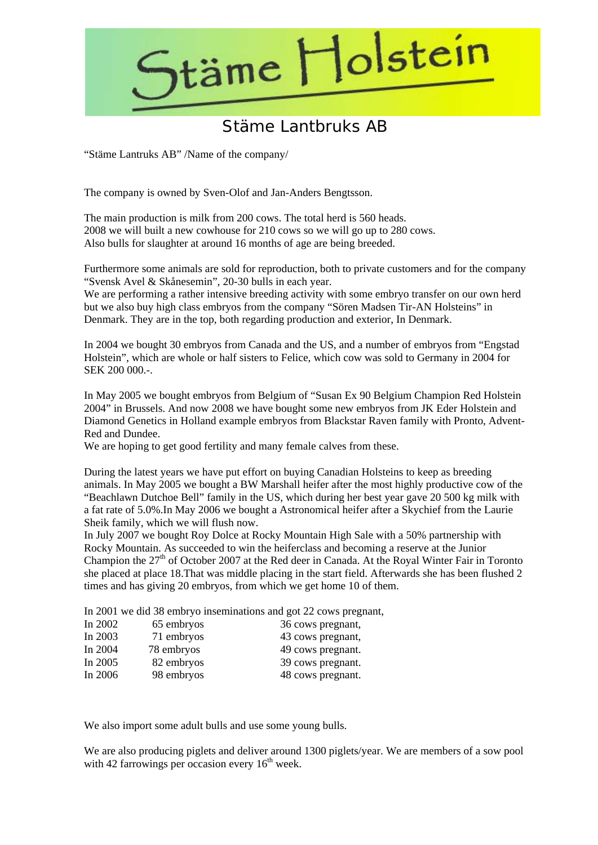

## Stäme Lantbruks AB

"Stäme Lantruks AB" /Name of the company/

The company is owned by Sven-Olof and Jan-Anders Bengtsson.

The main production is milk from 200 cows. The total herd is 560 heads. 2008 we will built a new cowhouse for 210 cows so we will go up to 280 cows. Also bulls for slaughter at around 16 months of age are being breeded.

Furthermore some animals are sold for reproduction, both to private customers and for the company "Svensk Avel & Skånesemin", 20-30 bulls in each year.

We are performing a rather intensive breeding activity with some embryo transfer on our own herd but we also buy high class embryos from the company "Sören Madsen Tir-AN Holsteins" in Denmark. They are in the top, both regarding production and exterior, In Denmark.

In 2004 we bought 30 embryos from Canada and the US, and a number of embryos from "Engstad Holstein", which are whole or half sisters to Felice, which cow was sold to Germany in 2004 for SEK 200 000 -

In May 2005 we bought embryos from Belgium of "Susan Ex 90 Belgium Champion Red Holstein 2004" in Brussels. And now 2008 we have bought some new embryos from JK Eder Holstein and Diamond Genetics in Holland example embryos from Blackstar Raven family with Pronto, Advent-Red and Dundee.

We are hoping to get good fertility and many female calves from these.

During the latest years we have put effort on buying Canadian Holsteins to keep as breeding animals. In May 2005 we bought a BW Marshall heifer after the most highly productive cow of the "Beachlawn Dutchoe Bell" family in the US, which during her best year gave 20 500 kg milk with a fat rate of 5.0%.In May 2006 we bought a Astronomical heifer after a Skychief from the Laurie Sheik family, which we will flush now.

In July 2007 we bought Roy Dolce at Rocky Mountain High Sale with a 50% partnership with Rocky Mountain. As succeeded to win the heiferclass and becoming a reserve at the Junior Champion the 27<sup>th</sup> of October 2007 at the Red deer in Canada. At the Royal Winter Fair in Toronto she placed at place 18.That was middle placing in the start field. Afterwards she has been flushed 2 times and has giving 20 embryos, from which we get home 10 of them.

In 2001 we did 38 embryo inseminations and got 22 cows pregnant,

| In $2002$ | 65 embryos | 36 cows pregnant, |
|-----------|------------|-------------------|
| In 2003   | 71 embryos | 43 cows pregnant, |
| In $2004$ | 78 embryos | 49 cows pregnant. |
| In $2005$ | 82 embryos | 39 cows pregnant. |
| In $2006$ | 98 embryos | 48 cows pregnant. |

We also import some adult bulls and use some young bulls.

We are also producing piglets and deliver around 1300 piglets/year. We are members of a sow pool with 42 farrowings per occasion every  $16<sup>th</sup>$  week.